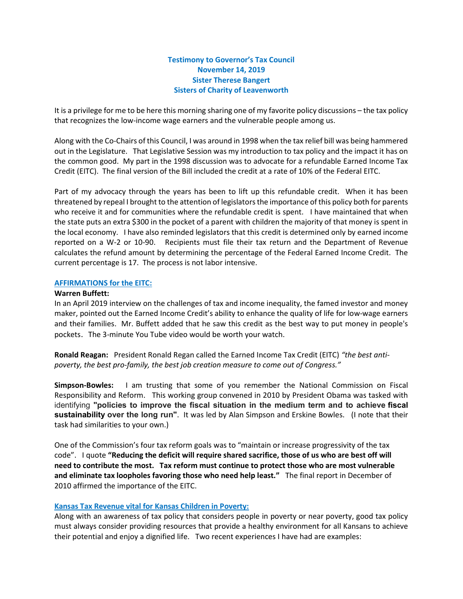# Testimony to Governor's Tax Council November 14, 2019 Sister Therese Bangert Sisters of Charity of Leavenworth

It is a privilege for me to be here this morning sharing one of my favorite policy discussions – the tax policy that recognizes the low-income wage earners and the vulnerable people among us.

Along with the Co-Chairs of this Council, I was around in 1998 when the tax relief bill was being hammered out in the Legislature. That Legislative Session was my introduction to tax policy and the impact it has on the common good. My part in the 1998 discussion was to advocate for a refundable Earned Income Tax Credit (EITC). The final version of the Bill included the credit at a rate of 10% of the Federal EITC.

Part of my advocacy through the years has been to lift up this refundable credit. When it has been threatened by repeal I brought to the attention of legislators the importance of this policy both for parents who receive it and for communities where the refundable credit is spent. I have maintained that when the state puts an extra \$300 in the pocket of a parent with children the majority of that money is spent in the local economy. I have also reminded legislators that this credit is determined only by earned income reported on a W-2 or 10-90. Recipients must file their tax return and the Department of Revenue calculates the refund amount by determining the percentage of the Federal Earned Income Credit. The current percentage is 17. The process is not labor intensive.

### AFFIRMATIONS for the EITC:

#### Warren Buffett:

In an April 2019 interview on the challenges of tax and income inequality, the famed investor and money maker, pointed out the Earned Income Credit's ability to enhance the quality of life for low-wage earners and their families. Mr. Buffett added that he saw this credit as the best way to put money in people's pockets. The 3-minute You Tube video would be worth your watch.

Ronald Reagan: President Ronald Regan called the Earned Income Tax Credit (EITC) "the best antipoverty, the best pro-family, the best job creation measure to come out of Congress."

Simpson-Bowles: I am trusting that some of you remember the National Commission on Fiscal Responsibility and Reform. This working group convened in 2010 by President Obama was tasked with identifying "policies to improve the fiscal situation in the medium term and to achieve fiscal sustainability over the long run". It was led by Alan Simpson and Erskine Bowles. (I note that their task had similarities to your own.)

One of the Commission's four tax reform goals was to "maintain or increase progressivity of the tax code". I quote "Reducing the deficit will require shared sacrifice, those of us who are best off will need to contribute the most. Tax reform must continue to protect those who are most vulnerable and eliminate tax loopholes favoring those who need help least." The final report in December of 2010 affirmed the importance of the EITC.

## Kansas Tax Revenue vital for Kansas Children in Poverty:

Along with an awareness of tax policy that considers people in poverty or near poverty, good tax policy must always consider providing resources that provide a healthy environment for all Kansans to achieve their potential and enjoy a dignified life. Two recent experiences I have had are examples: